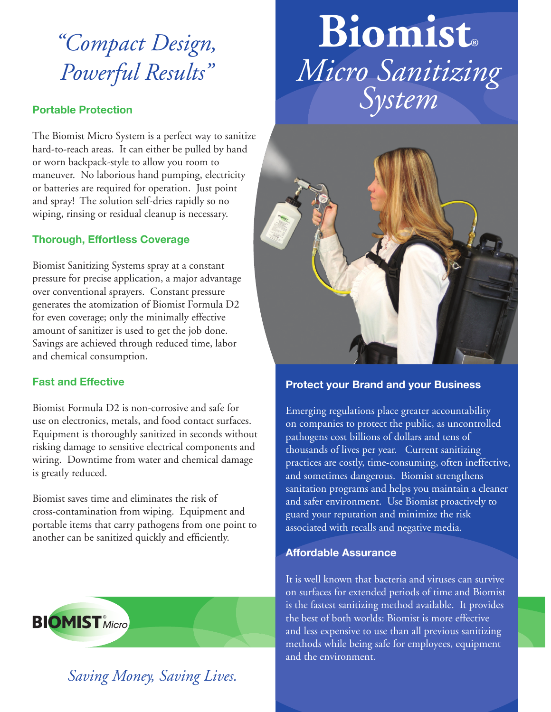# *"Compact Design, Powerful Results"*

#### **Portable Protection**

The Biomist Micro System is a perfect way to sanitize hard-to-reach areas. It can either be pulled by hand or worn backpack-style to allow you room to maneuver. No laborious hand pumping, electricity or batteries are required for operation. Just point and spray! The solution self-dries rapidly so no wiping, rinsing or residual cleanup is necessary.

### **Thorough, Effortless Coverage**

Biomist Sanitizing Systems spray at a constant pressure for precise application, a major advantage over conventional sprayers. Constant pressure generates the atomization of Biomist Formula D2 for even coverage; only the minimally effective amount of sanitizer is used to get the job done. Savings are achieved through reduced time, labor and chemical consumption.

#### **Fast and Effective**

Biomist Formula D2 is non-corrosive and safe for use on electronics, metals, and food contact surfaces. Equipment is thoroughly sanitized in seconds without risking damage to sensitive electrical components and wiring. Downtime from water and chemical damage is greatly reduced.

Biomist saves time and eliminates the risk of cross-contamination from wiping. Equipment and portable items that carry pathogens from one point to another can be sanitized quickly and efficiently.



*Saving Money, Saving Lives.*

# **Biomist®** *Micro Sanitizing System*



#### **Protect your Brand and your Business**

Emerging regulations place greater accountability on companies to protect the public, as uncontrolled pathogens cost billions of dollars and tens of thousands of lives per year. Current sanitizing practices are costly, time-consuming, often ineffective, and sometimes dangerous. Biomist strengthens sanitation programs and helps you maintain a cleaner and safer environment. Use Biomist proactively to guard your reputation and minimize the risk associated with recalls and negative media.

#### **Affordable Assurance**

It is well known that bacteria and viruses can survive on surfaces for extended periods of time and Biomist is the fastest sanitizing method available. It provides the best of both worlds: Biomist is more effective and less expensive to use than all previous sanitizing methods while being safe for employees, equipment and the environment.